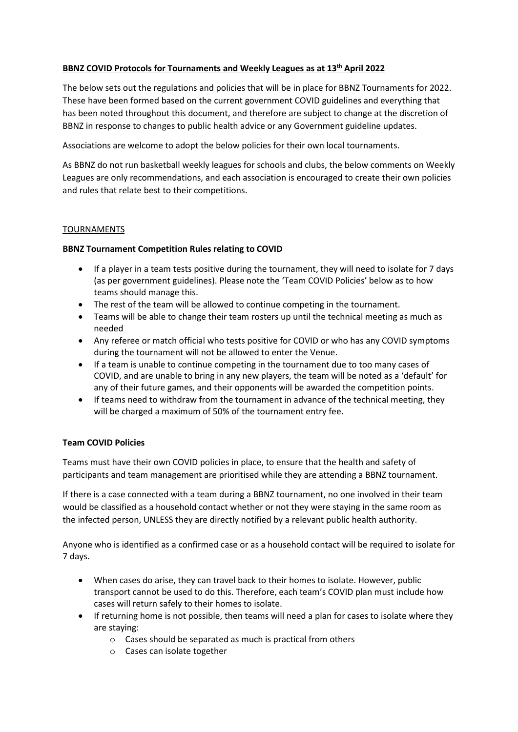# **BBNZ COVID Protocols for Tournaments and Weekly Leagues as at 13th April 2022**

The below sets out the regulations and policies that will be in place for BBNZ Tournaments for 2022. These have been formed based on the current government COVID guidelines and everything that has been noted throughout this document, and therefore are subject to change at the discretion of BBNZ in response to changes to public health advice or any Government guideline updates.

Associations are welcome to adopt the below policies for their own local tournaments.

As BBNZ do not run basketball weekly leagues for schools and clubs, the below comments on Weekly Leagues are only recommendations, and each association is encouraged to create their own policies and rules that relate best to their competitions.

### TOURNAMENTS

### **BBNZ Tournament Competition Rules relating to COVID**

- If a player in a team tests positive during the tournament, they will need to isolate for 7 days (as per government guidelines). Please note the 'Team COVID Policies' below as to how teams should manage this.
- The rest of the team will be allowed to continue competing in the tournament.
- Teams will be able to change their team rosters up until the technical meeting as much as needed
- Any referee or match official who tests positive for COVID or who has any COVID symptoms during the tournament will not be allowed to enter the Venue.
- If a team is unable to continue competing in the tournament due to too many cases of COVID, and are unable to bring in any new players, the team will be noted as a 'default' for any of their future games, and their opponents will be awarded the competition points.
- If teams need to withdraw from the tournament in advance of the technical meeting, they will be charged a maximum of 50% of the tournament entry fee.

### **Team COVID Policies**

Teams must have their own COVID policies in place, to ensure that the health and safety of participants and team management are prioritised while they are attending a BBNZ tournament.

If there is a case connected with a team during a BBNZ tournament, no one involved in their team would be classified as a household contact whether or not they were staying in the same room as the infected person, UNLESS they are directly notified by a relevant public health authority.

Anyone who is identified as a confirmed case or as a household contact will be required to isolate for 7 days.

- When cases do arise, they can travel back to their homes to isolate. However, public transport cannot be used to do this. Therefore, each team's COVID plan must include how cases will return safely to their homes to isolate.
- If returning home is not possible, then teams will need a plan for cases to isolate where they are staying:
	- o Cases should be separated as much is practical from others
	- o Cases can isolate together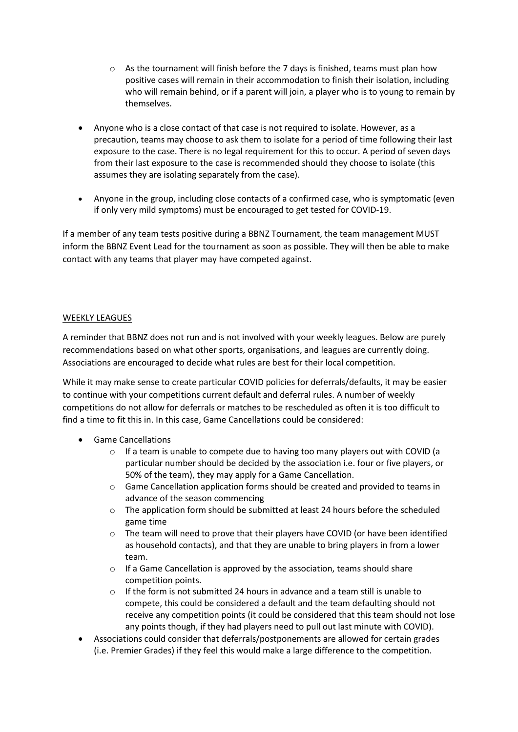- $\circ$  As the tournament will finish before the 7 days is finished, teams must plan how positive cases will remain in their accommodation to finish their isolation, including who will remain behind, or if a parent will join, a player who is to young to remain by themselves.
- Anyone who is a close contact of that case is not required to isolate. However, as a precaution, teams may choose to ask them to isolate for a period of time following their last exposure to the case. There is no legal requirement for this to occur. A period of seven days from their last exposure to the case is recommended should they choose to isolate (this assumes they are isolating separately from the case).
- Anyone in the group, including close contacts of a confirmed case, who is symptomatic (even if only very mild symptoms) must be encouraged to get tested for COVID-19.

If a member of any team tests positive during a BBNZ Tournament, the team management MUST inform the BBNZ Event Lead for the tournament as soon as possible. They will then be able to make contact with any teams that player may have competed against.

## WEEKLY LEAGUES

A reminder that BBNZ does not run and is not involved with your weekly leagues. Below are purely recommendations based on what other sports, organisations, and leagues are currently doing. Associations are encouraged to decide what rules are best for their local competition.

While it may make sense to create particular COVID policies for deferrals/defaults, it may be easier to continue with your competitions current default and deferral rules. A number of weekly competitions do not allow for deferrals or matches to be rescheduled as often it is too difficult to find a time to fit this in. In this case, Game Cancellations could be considered:

- Game Cancellations
	- $\circ$  If a team is unable to compete due to having too many players out with COVID (a particular number should be decided by the association i.e. four or five players, or 50% of the team), they may apply for a Game Cancellation.
	- o Game Cancellation application forms should be created and provided to teams in advance of the season commencing
	- $\circ$  The application form should be submitted at least 24 hours before the scheduled game time
	- $\circ$  The team will need to prove that their players have COVID (or have been identified as household contacts), and that they are unable to bring players in from a lower team.
	- $\circ$  If a Game Cancellation is approved by the association, teams should share competition points.
	- $\circ$  If the form is not submitted 24 hours in advance and a team still is unable to compete, this could be considered a default and the team defaulting should not receive any competition points (it could be considered that this team should not lose any points though, if they had players need to pull out last minute with COVID).
- Associations could consider that deferrals/postponements are allowed for certain grades (i.e. Premier Grades) if they feel this would make a large difference to the competition.